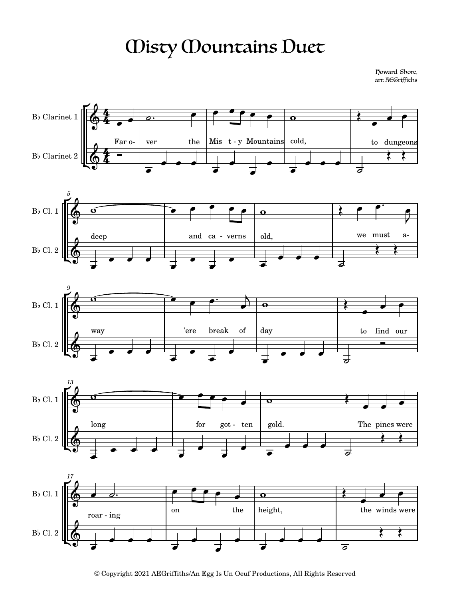## Misty Mountains Duet

Howard Shore, arr. AEGriffiths











© Copyright 2021 AEGriffiths/An Egg Is Un Oeuf Productions, All Rights Reserved